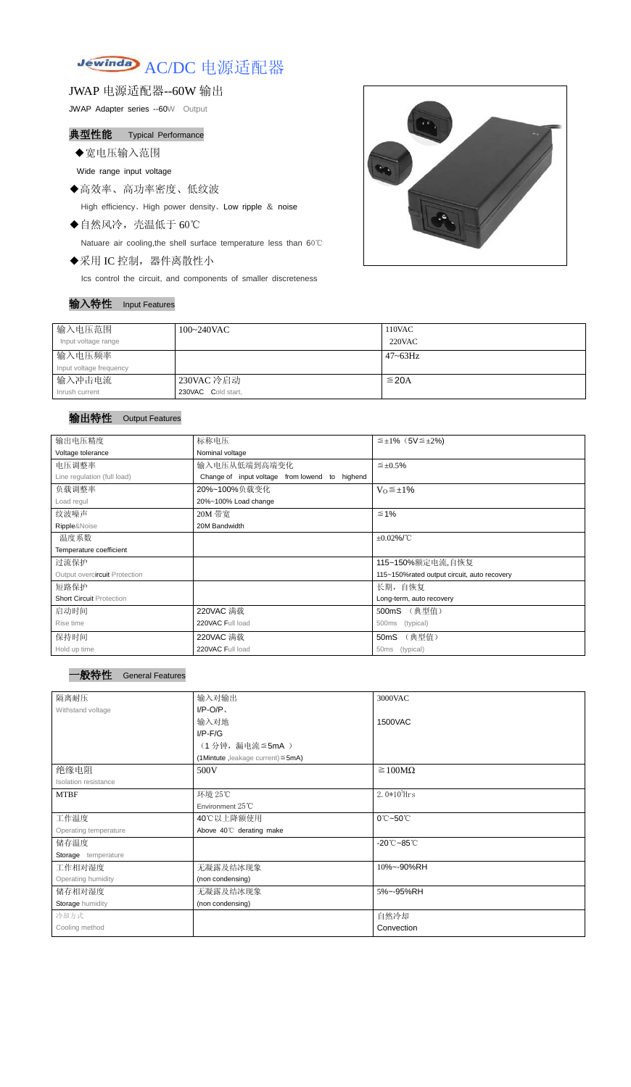# Jewinda AC/DC 电源适配器

JWAP 电源适配器--60W 输出

JWAP Adapter series --60W Output

## 典型性能 Typical Performance

◆宽电压输入范围

Wide range input voltage

- ◆高效率、高功率密度、低纹波 High efficiency、High power density、Low ripple & noise
- ◆自然风冷,壳温低于 60℃

Natuare air cooling,the shell surface temperature less than 60℃

◆采用 IC 控制,器件离散性小

Ics control the circuit, and components of smaller discreteness

#### 输入特性 Input Features



| 输入电压范围                  | $100~240$ VAC      | 110VAC        |
|-------------------------|--------------------|---------------|
| Input voltage range     |                    | <b>220VAC</b> |
| 输入电压频率                  |                    | $47 - 63$ Hz  |
| Input voltage frequency |                    |               |
| 输入冲击电流                  | 230VAC 冷启动         | $\leq$ 20A    |
| Inrush current          | 230VAC Cold start, |               |

### 输出特性 Output Features

| 输出电压精度                          | 标称电压                                                    | $\leq \pm 1\%$ (5V $\leq \pm 2\%$ )         |  |  |
|---------------------------------|---------------------------------------------------------|---------------------------------------------|--|--|
|                                 |                                                         |                                             |  |  |
| Voltage tolerance               | Nominal voltage                                         |                                             |  |  |
| 电压调整率                           | 输入电压从低端到高端变化<br>$\leq \pm 0.5\%$                        |                                             |  |  |
| Line regulation (full load)     | Change of input voltage<br>from lowend<br>highend<br>to |                                             |  |  |
| 负载调整率                           | 20%~100%负载变化<br>$V_0 \leq \pm 1\%$                      |                                             |  |  |
| Load regul                      | 20%~100% Load change                                    |                                             |  |  |
| 纹波噪声                            | 20M 带宽                                                  | $≤ 1%$                                      |  |  |
| Ripple&Noise                    | 20M Bandwidth                                           |                                             |  |  |
| 温度系数                            |                                                         | $±0.02\%$ /°C                               |  |  |
| Temperature coefficient         |                                                         |                                             |  |  |
| 过流保护                            |                                                         | 115~150%额定电流,自恢复                            |  |  |
| Output overcircuit Protection   |                                                         | 115~150%rated output circuit, auto recovery |  |  |
| 短路保护                            |                                                         | 长期, 自恢复                                     |  |  |
| <b>Short Circuit Protection</b> |                                                         | Long-term, auto recovery                    |  |  |
| 启动时间                            | 220VAC 满载<br>(典型值)<br>500mS                             |                                             |  |  |
| Rise time                       | 220VAC Full load                                        | (typical)<br>500ms                          |  |  |
| 保持时间                            | 220VAC 满载                                               | (典型值)<br>50 <sub>m</sub> S                  |  |  |
| Hold up time                    | 220VAC Full load                                        | (typical)<br>50 <sub>ms</sub>               |  |  |

| 隔离耐压                  | 输入对输出                                   | 3000VAC                         |  |
|-----------------------|-----------------------------------------|---------------------------------|--|
| Withstand voltage     | $I/P-O/P$                               |                                 |  |
|                       | 输入对地                                    | 1500VAC                         |  |
|                       | $I/P$ - $F/G$                           |                                 |  |
|                       | (1分钟,漏电流 ≦5mA)                          |                                 |  |
|                       | (1Mintute, leakage current) $\leq$ 5mA) |                                 |  |
| 绝缘电阻                  | 500V                                    | $\geq 100M\Omega$               |  |
| Isolation resistance  |                                         |                                 |  |
| <b>MTBF</b>           | 环境 25℃                                  | $2.0*105$ Hrs                   |  |
|                       | Environment $25^{\circ}$ C              |                                 |  |
| 工作温度                  | 40℃以上降额使用                               | $0^{\circ}$ C~50 $^{\circ}$ C   |  |
| Operating temperature | Above 40°C derating make                |                                 |  |
| 储存温度                  |                                         | $-20^{\circ}$ C $-85^{\circ}$ C |  |
| Storage temperature   |                                         |                                 |  |
| 工作相对湿度                | 无凝露及结冰现象                                | 10%~-90%RH                      |  |
| Operating humidity    | (non condensing)                        |                                 |  |
| 储存相对湿度                | 无凝露及结冰现象                                | 5%~-95%RH                       |  |
| Storage humidity      | (non condensing)                        |                                 |  |
| 冷却方式                  |                                         | 自然冷却                            |  |
| Cooling method        |                                         | Convection                      |  |